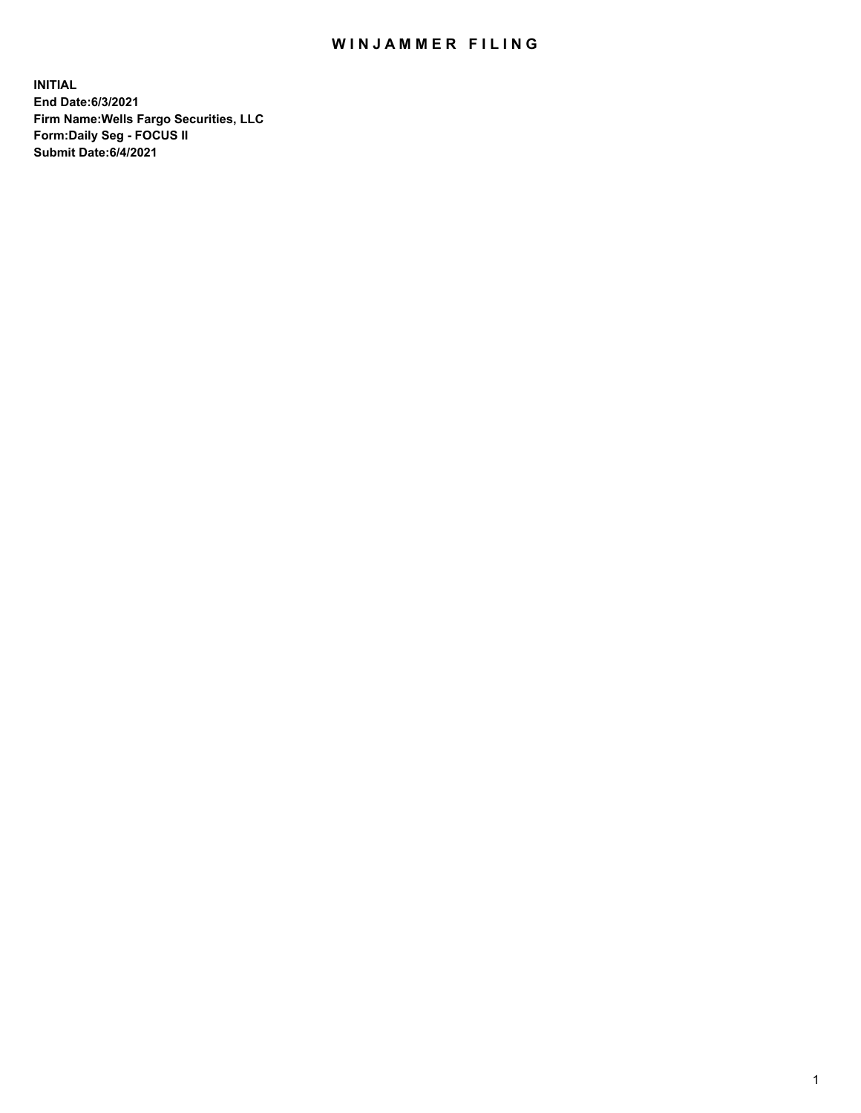## WIN JAMMER FILING

**INITIAL End Date:6/3/2021 Firm Name:Wells Fargo Securities, LLC Form:Daily Seg - FOCUS II Submit Date:6/4/2021**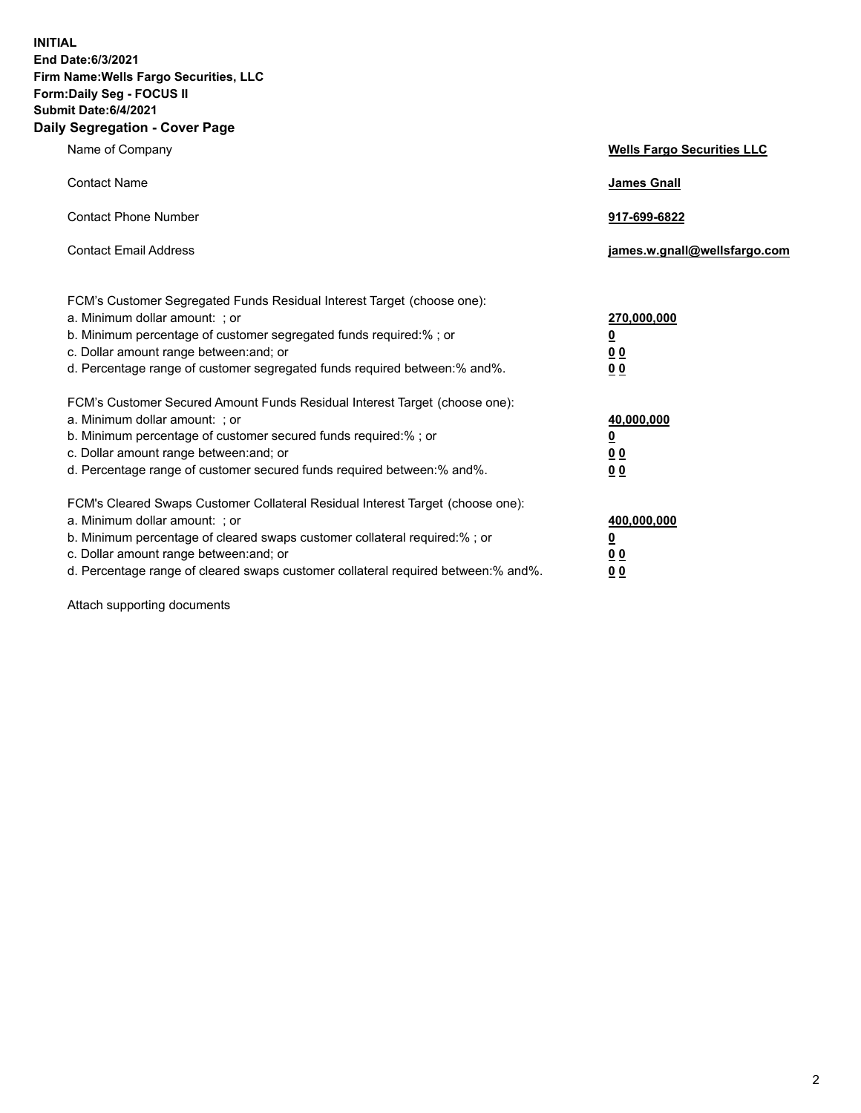**INITIAL End Date:6/3/2021 Firm Name:Wells Fargo Securities, LLC Form:Daily Seg - FOCUS II Submit Date:6/4/2021 Daily Segregation - Cover Page**

| Name of Company                                                                                                                                                                                                                                                                                                                | <b>Wells Fargo Securities LLC</b>                              |
|--------------------------------------------------------------------------------------------------------------------------------------------------------------------------------------------------------------------------------------------------------------------------------------------------------------------------------|----------------------------------------------------------------|
| <b>Contact Name</b>                                                                                                                                                                                                                                                                                                            | <b>James Gnall</b>                                             |
| <b>Contact Phone Number</b>                                                                                                                                                                                                                                                                                                    | 917-699-6822                                                   |
| <b>Contact Email Address</b>                                                                                                                                                                                                                                                                                                   | james.w.gnall@wellsfargo.com                                   |
| FCM's Customer Segregated Funds Residual Interest Target (choose one):<br>a. Minimum dollar amount: ; or<br>b. Minimum percentage of customer segregated funds required:% ; or<br>c. Dollar amount range between: and; or<br>d. Percentage range of customer segregated funds required between:% and%.                         | 270,000,000<br>$\overline{\mathbf{0}}$<br>0 <sub>0</sub><br>00 |
| FCM's Customer Secured Amount Funds Residual Interest Target (choose one):<br>a. Minimum dollar amount: ; or<br>b. Minimum percentage of customer secured funds required:% ; or<br>c. Dollar amount range between: and; or<br>d. Percentage range of customer secured funds required between:% and%.                           | 40,000,000<br><u>0</u><br>00<br>0 <sub>0</sub>                 |
| FCM's Cleared Swaps Customer Collateral Residual Interest Target (choose one):<br>a. Minimum dollar amount: ; or<br>b. Minimum percentage of cleared swaps customer collateral required:% ; or<br>c. Dollar amount range between: and; or<br>d. Percentage range of cleared swaps customer collateral required between:% and%. | 400,000,000<br><u>0</u><br>0 <sub>0</sub><br>00                |

Attach supporting documents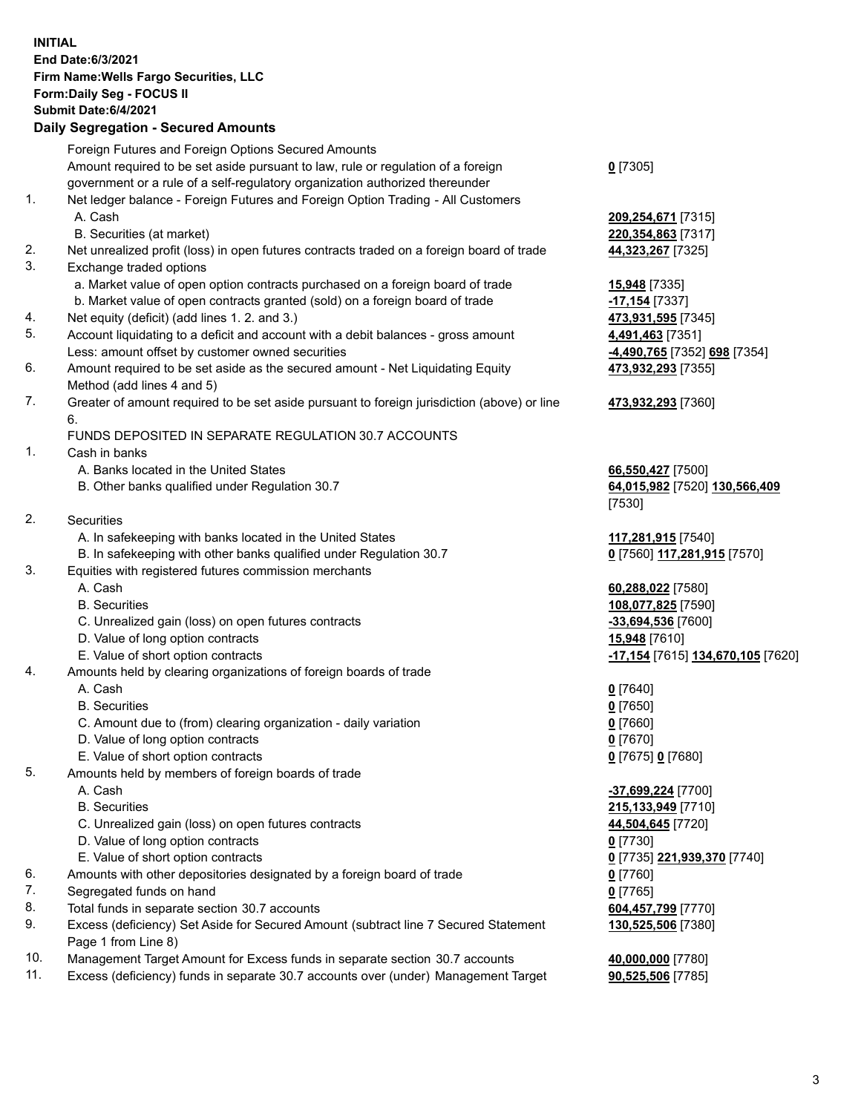**INITIAL End Date:6/3/2021 Firm Name:Wells Fargo Securities, LLC Form:Daily Seg - FOCUS II Submit Date:6/4/2021 Daily Segregation - Secured Amounts** Foreign Futures and Foreign Options Secured Amounts

Amount required to be set aside pursuant to law, rule or regulation of a foreign

government or a rule of a self-regulatory organization authorized thereunder

## 1. Net ledger balance - Foreign Futures and Foreign Option Trading - All Customers A. Cash **209,254,671** [7315]

- B. Securities (at market) **220,354,863** [7317]
- 2. Net unrealized profit (loss) in open futures contracts traded on a foreign board of trade **44,323,267** [7325]
- 3. Exchange traded options
	- a. Market value of open option contracts purchased on a foreign board of trade **15,948** [7335]
	- b. Market value of open contracts granted (sold) on a foreign board of trade **-17,154** [7337]
- 4. Net equity (deficit) (add lines 1. 2. and 3.) **473,931,595** [7345]
- 5. Account liquidating to a deficit and account with a debit balances gross amount **4,491,463** [7351] Less: amount offset by customer owned securities **-4,490,765** [7352] **698** [7354]
- 6. Amount required to be set aside as the secured amount Net Liquidating Equity Method (add lines 4 and 5)
- 7. Greater of amount required to be set aside pursuant to foreign jurisdiction (above) or line 6.

## FUNDS DEPOSITED IN SEPARATE REGULATION 30.7 ACCOUNTS

- 1. Cash in banks
	- A. Banks located in the United States **66,550,427** [7500]
	- B. Other banks qualified under Regulation 30.7 **64,015,982** [7520] **130,566,409**
- 2. Securities
	- A. In safekeeping with banks located in the United States **117,281,915** [7540]
- B. In safekeeping with other banks qualified under Regulation 30.7 **0** [7560] **117,281,915** [7570]
- 3. Equities with registered futures commission merchants
	-
	-
	- C. Unrealized gain (loss) on open futures contracts **-33,694,536** [7600]
	- D. Value of long option contracts **15,948** [7610]
	-
- 4. Amounts held by clearing organizations of foreign boards of trade
	- A. Cash **0** [7640]
	- B. Securities **0** [7650]
	- C. Amount due to (from) clearing organization daily variation **0** [7660]
	- D. Value of long option contracts **0** [7670]
	- E. Value of short option contracts **0** [7675] **0** [7680]
- 5. Amounts held by members of foreign boards of trade
	-
	-
	- C. Unrealized gain (loss) on open futures contracts **44,504,645** [7720]
	- D. Value of long option contracts **0** [7730]
	- E. Value of short option contracts **0** [7735] **221,939,370** [7740]
- 6. Amounts with other depositories designated by a foreign board of trade **0** [7760]
- 7. Segregated funds on hand **0** [7765]
- 8. Total funds in separate section 30.7 accounts **604,457,799** [7770]
- 9. Excess (deficiency) Set Aside for Secured Amount (subtract line 7 Secured Statement Page 1 from Line 8)
- 10. Management Target Amount for Excess funds in separate section 30.7 accounts **40,000,000** [7780]
- 11. Excess (deficiency) funds in separate 30.7 accounts over (under) Management Target **90,525,506** [7785]

**0** [7305]

**473,932,293** [7355]

**473,932,293** [7360]

[7530]

 A. Cash **60,288,022** [7580] B. Securities **108,077,825** [7590] E. Value of short option contracts **-17,154** [7615] **134,670,105** [7620]

 A. Cash **-37,699,224** [7700] B. Securities **215,133,949** [7710] **130,525,506** [7380]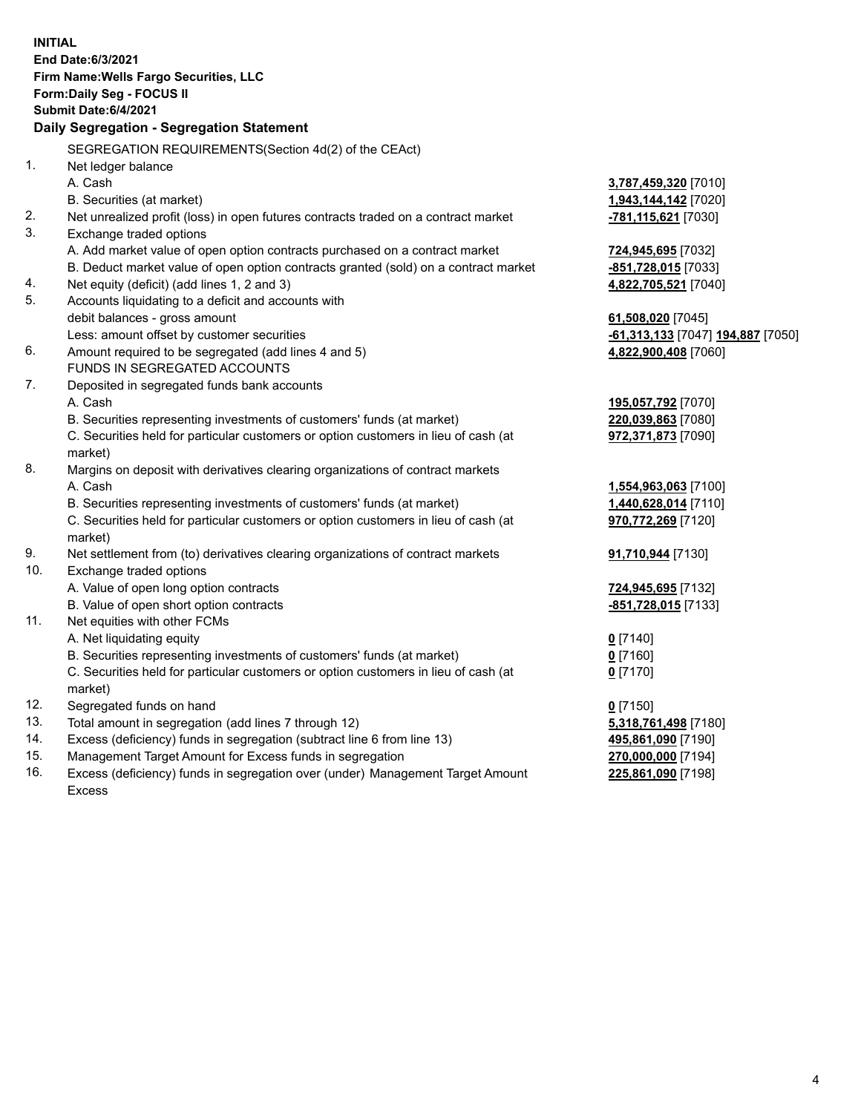|     | <b>INITIAL</b><br>End Date: 6/3/2021<br>Firm Name: Wells Fargo Securities, LLC<br>Form: Daily Seg - FOCUS II<br><b>Submit Date:6/4/2021</b> |                                                |
|-----|---------------------------------------------------------------------------------------------------------------------------------------------|------------------------------------------------|
|     | Daily Segregation - Segregation Statement                                                                                                   |                                                |
|     | SEGREGATION REQUIREMENTS(Section 4d(2) of the CEAct)                                                                                        |                                                |
| 1.  | Net ledger balance                                                                                                                          |                                                |
|     | A. Cash                                                                                                                                     | 3,787,459,320 [7010]                           |
|     | B. Securities (at market)                                                                                                                   | 1,943,144,142 [7020]                           |
| 2.  | Net unrealized profit (loss) in open futures contracts traded on a contract market                                                          | -781,115,621 [7030]                            |
| 3.  | Exchange traded options                                                                                                                     |                                                |
|     | A. Add market value of open option contracts purchased on a contract market                                                                 | 724,945,695 [7032]                             |
|     | B. Deduct market value of open option contracts granted (sold) on a contract market                                                         | -851,728,015 [7033]                            |
| 4.  | Net equity (deficit) (add lines 1, 2 and 3)                                                                                                 | 4,822,705,521 [7040]                           |
| 5.  | Accounts liquidating to a deficit and accounts with                                                                                         |                                                |
|     | debit balances - gross amount                                                                                                               | 61,508,020 [7045]                              |
|     | Less: amount offset by customer securities                                                                                                  | <mark>-61,313,133</mark> [7047] 194,887 [7050] |
| 6.  | Amount required to be segregated (add lines 4 and 5)                                                                                        | 4,822,900,408 [7060]                           |
|     | FUNDS IN SEGREGATED ACCOUNTS                                                                                                                |                                                |
| 7.  | Deposited in segregated funds bank accounts                                                                                                 |                                                |
|     | A. Cash<br>B. Securities representing investments of customers' funds (at market)                                                           | 195,057,792 [7070]                             |
|     | C. Securities held for particular customers or option customers in lieu of cash (at                                                         | 220,039,863 [7080]                             |
|     | market)                                                                                                                                     | 972,371,873 [7090]                             |
| 8.  | Margins on deposit with derivatives clearing organizations of contract markets                                                              |                                                |
|     | A. Cash                                                                                                                                     | 1,554,963,063 [7100]                           |
|     | B. Securities representing investments of customers' funds (at market)                                                                      | 1,440,628,014 [7110]                           |
|     | C. Securities held for particular customers or option customers in lieu of cash (at                                                         | 970,772,269 [7120]                             |
|     | market)                                                                                                                                     |                                                |
| 9.  | Net settlement from (to) derivatives clearing organizations of contract markets                                                             | 91,710,944 [7130]                              |
| 10. | Exchange traded options                                                                                                                     |                                                |
|     | A. Value of open long option contracts                                                                                                      | 724,945,695 [7132]                             |
|     | B. Value of open short option contracts                                                                                                     | -851,728,015 [7133]                            |
| 11. | Net equities with other FCMs                                                                                                                |                                                |
|     | A. Net liquidating equity                                                                                                                   | $0$ [7140]                                     |
|     | B. Securities representing investments of customers' funds (at market)                                                                      | $0$ [7160]                                     |
|     | C. Securities held for particular customers or option customers in lieu of cash (at                                                         | $0$ [7170]                                     |
|     | market)                                                                                                                                     |                                                |
| 12. | Segregated funds on hand                                                                                                                    | $0$ [7150]                                     |
| 13. | Total amount in segregation (add lines 7 through 12)                                                                                        | 5,318,761,498 [7180]                           |
| 14. | Excess (deficiency) funds in segregation (subtract line 6 from line 13)                                                                     | 495,861,090 [7190]                             |
| 15. | Management Target Amount for Excess funds in segregation                                                                                    | 270,000,000 [7194]                             |
| 16. | Excess (deficiency) funds in segregation over (under) Management Target Amount                                                              | 225,861,090 [7198]                             |
|     | Excess                                                                                                                                      |                                                |